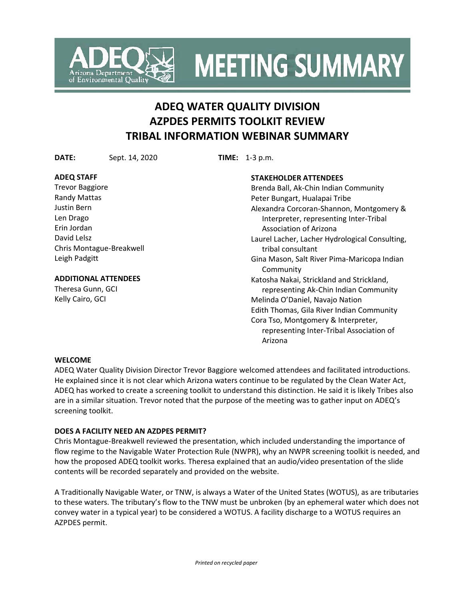

**MEETING SUMMARY** 

# **ADEQ WATER QUALITY DIVISION AZPDES PERMITS TOOLKIT REVIEW TRIBAL INFORMATION WEBINAR SUMMARY**

**DATE:** Sept. 14, 2020 **TIME:** 1-3 p.m.

## **ADEQ STAFF**

Trevor Baggiore Randy Mattas Justin Bern Len Drago Erin Jordan David Lelsz Chris Montague-Breakwell Leigh Padgitt

# **ADDITIONAL ATTENDEES**

Theresa Gunn, GCI Kelly Cairo, GCI

## **STAKEHOLDER ATTENDEES**

Brenda Ball, Ak-Chin Indian Community Peter Bungart, Hualapai Tribe Alexandra Corcoran-Shannon, Montgomery & Interpreter, representing Inter-Tribal Association of Arizona Laurel Lacher, Lacher Hydrological Consulting, tribal consultant Gina Mason, Salt River Pima-Maricopa Indian Community Katosha Nakai, Strickland and Strickland, representing Ak-Chin Indian Community Melinda O'Daniel, Navajo Nation Edith Thomas, Gila River Indian Community Cora Tso, Montgomery & Interpreter, representing Inter-Tribal Association of Arizona

## **WELCOME**

ADEQ Water Quality Division Director Trevor Baggiore welcomed attendees and facilitated introductions. He explained since it is not clear which Arizona waters continue to be regulated by the Clean Water Act, ADEQ has worked to create a screening toolkit to understand this distinction. He said it is likely Tribes also are in a similar situation. Trevor noted that the purpose of the meeting was to gather input on ADEQ's screening toolkit.

# **DOES A FACILITY NEED AN AZDPES PERMIT?**

Chris Montague-Breakwell reviewed the presentation, which included understanding the importance of flow regime to the Navigable Water Protection Rule (NWPR), why an NWPR screening toolkit is needed, and how the proposed ADEQ toolkit works. Theresa explained that an audio/video presentation of the slide contents will be recorded separately and provided on the website.

A Traditionally Navigable Water, or TNW, is always a Water of the United States (WOTUS), as are tributaries to these waters. The tributary's flow to the TNW must be unbroken (by an ephemeral water which does not convey water in a typical year) to be considered a WOTUS. A facility discharge to a WOTUS requires an AZPDES permit.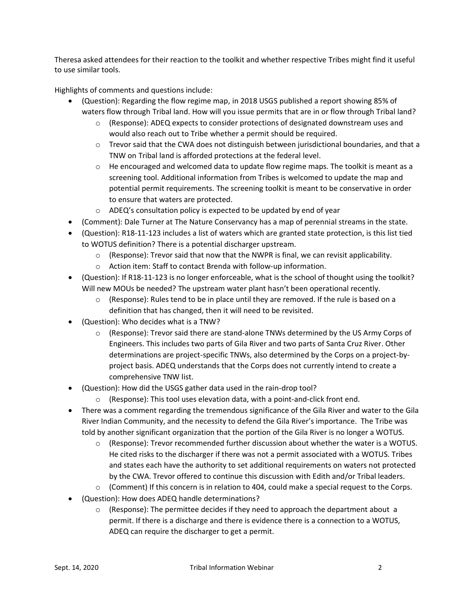Theresa asked attendees for their reaction to the toolkit and whether respective Tribes might find it useful to use similar tools.

Highlights of comments and questions include:

- (Question): Regarding the flow regime map, in 2018 USGS published a report showing 85% of waters flow through Tribal land. How will you issue permits that are in or flow through Tribal land?
	- $\circ$  (Response): ADEQ expects to consider protections of designated downstream uses and would also reach out to Tribe whether a permit should be required.
	- $\circ$  Trevor said that the CWA does not distinguish between jurisdictional boundaries, and that a TNW on Tribal land is afforded protections at the federal level.
	- $\circ$  He encouraged and welcomed data to update flow regime maps. The toolkit is meant as a screening tool. Additional information from Tribes is welcomed to update the map and potential permit requirements. The screening toolkit is meant to be conservative in order to ensure that waters are protected.
	- o ADEQ's consultation policy is expected to be updated by end of year
- (Comment): Dale Turner at The Nature Conservancy has a map of perennial streams in the state.
- (Question): R18-11-123 includes a list of waters which are granted state protection, is this list tied to WOTUS definition? There is a potential discharger upstream.
	- $\circ$  (Response): Trevor said that now that the NWPR is final, we can revisit applicability.
	- o Action item: Staff to contact Brenda with follow-up information.
- (Question): If R18-11-123 is no longer enforceable, what is the school of thought using the toolkit? Will new MOUs be needed? The upstream water plant hasn't been operational recently.
	- $\circ$  (Response): Rules tend to be in place until they are removed. If the rule is based on a definition that has changed, then it will need to be revisited.
- (Question): Who decides what is a TNW?
	- o (Response): Trevor said there are stand-alone TNWs determined by the US Army Corps of Engineers. This includes two parts of Gila River and two parts of Santa Cruz River. Other determinations are project-specific TNWs, also determined by the Corps on a project-byproject basis. ADEQ understands that the Corps does not currently intend to create a comprehensive TNW list.
- (Question): How did the USGS gather data used in the rain-drop tool?
	- $\circ$  (Response): This tool uses elevation data, with a point-and-click front end.
- There was a comment regarding the tremendous significance of the Gila River and water to the Gila River Indian Community, and the necessity to defend the Gila River's importance. The Tribe was told by another significant organization that the portion of the Gila River is no longer a WOTUS.
	- $\circ$  (Response): Trevor recommended further discussion about whether the water is a WOTUS. He cited risks to the discharger if there was not a permit associated with a WOTUS. Tribes and states each have the authority to set additional requirements on waters not protected by the CWA. Trevor offered to continue this discussion with Edith and/or Tribal leaders.
	- $\circ$  (Comment) If this concern is in relation to 404, could make a special request to the Corps.
- (Question): How does ADEQ handle determinations?
	- $\circ$  (Response): The permittee decides if they need to approach the department about a permit. If there is a discharge and there is evidence there is a connection to a WOTUS, ADEQ can require the discharger to get a permit.